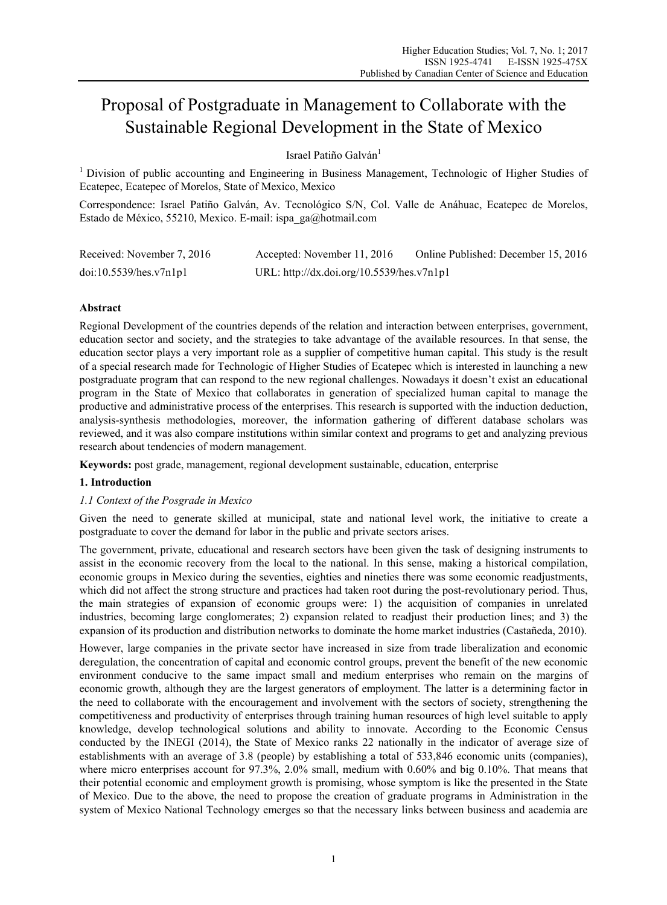# Proposal of Postgraduate in Management to Collaborate with the Sustainable Regional Development in the State of Mexico

Israel Patiño Galván<sup>1</sup>

1 Division of public accounting and Engineering in Business Management, Technologic of Higher Studies of Ecatepec, Ecatepec of Morelos, State of Mexico, Mexico

Correspondence: Israel Patiño Galván, Av. Tecnológico S/N, Col. Valle de Anáhuac, Ecatepec de Morelos, Estado de México, 55210, Mexico. E-mail: ispa\_ga@hotmail.com

| Received: November 7, 2016 | Accepted: November 11, 2016               | Online Published: December 15, 2016 |
|----------------------------|-------------------------------------------|-------------------------------------|
| doi:10.5539/hes.v7n1p1     | URL: http://dx.doi.org/10.5539/hes.v7n1p1 |                                     |

# **Abstract**

Regional Development of the countries depends of the relation and interaction between enterprises, government, education sector and society, and the strategies to take advantage of the available resources. In that sense, the education sector plays a very important role as a supplier of competitive human capital. This study is the result of a special research made for Technologic of Higher Studies of Ecatepec which is interested in launching a new postgraduate program that can respond to the new regional challenges. Nowadays it doesn't exist an educational program in the State of Mexico that collaborates in generation of specialized human capital to manage the productive and administrative process of the enterprises. This research is supported with the induction deduction, analysis-synthesis methodologies, moreover, the information gathering of different database scholars was reviewed, and it was also compare institutions within similar context and programs to get and analyzing previous research about tendencies of modern management.

**Keywords:** post grade, management, regional development sustainable, education, enterprise

# **1. Introduction**

# *1.1 Context of the Posgrade in Mexico*

Given the need to generate skilled at municipal, state and national level work, the initiative to create a postgraduate to cover the demand for labor in the public and private sectors arises.

The government, private, educational and research sectors have been given the task of designing instruments to assist in the economic recovery from the local to the national. In this sense, making a historical compilation, economic groups in Mexico during the seventies, eighties and nineties there was some economic readjustments, which did not affect the strong structure and practices had taken root during the post-revolutionary period. Thus, the main strategies of expansion of economic groups were: 1) the acquisition of companies in unrelated industries, becoming large conglomerates; 2) expansion related to readjust their production lines; and 3) the expansion of its production and distribution networks to dominate the home market industries (Castañeda, 2010).

However, large companies in the private sector have increased in size from trade liberalization and economic deregulation, the concentration of capital and economic control groups, prevent the benefit of the new economic environment conducive to the same impact small and medium enterprises who remain on the margins of economic growth, although they are the largest generators of employment. The latter is a determining factor in the need to collaborate with the encouragement and involvement with the sectors of society, strengthening the competitiveness and productivity of enterprises through training human resources of high level suitable to apply knowledge, develop technological solutions and ability to innovate. According to the Economic Census conducted by the INEGI (2014), the State of Mexico ranks 22 nationally in the indicator of average size of establishments with an average of 3.8 (people) by establishing a total of 533,846 economic units (companies), where micro enterprises account for 97.3%, 2.0% small, medium with 0.60% and big 0.10%. That means that their potential economic and employment growth is promising, whose symptom is like the presented in the State of Mexico. Due to the above, the need to propose the creation of graduate programs in Administration in the system of Mexico National Technology emerges so that the necessary links between business and academia are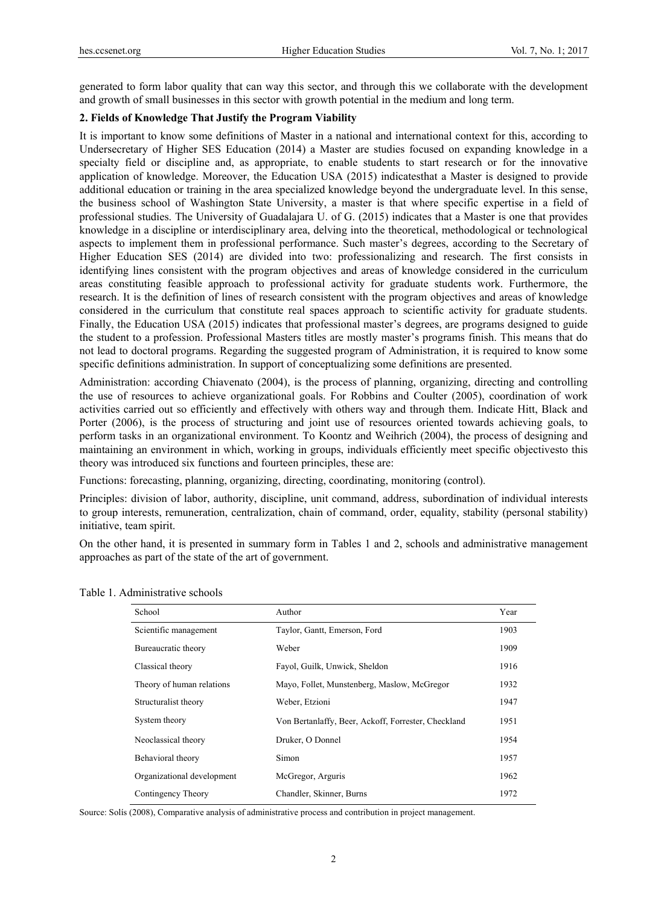generated to form labor quality that can way this sector, and through this we collaborate with the development and growth of small businesses in this sector with growth potential in the medium and long term.

# **2. Fields of Knowledge That Justify the Program Viability**

It is important to know some definitions of Master in a national and international context for this, according to Undersecretary of Higher SES Education (2014) a Master are studies focused on expanding knowledge in a specialty field or discipline and, as appropriate, to enable students to start research or for the innovative application of knowledge. Moreover, the Education USA (2015) indicatesthat a Master is designed to provide additional education or training in the area specialized knowledge beyond the undergraduate level. In this sense, the business school of Washington State University, a master is that where specific expertise in a field of professional studies. The University of Guadalajara U. of G. (2015) indicates that a Master is one that provides knowledge in a discipline or interdisciplinary area, delving into the theoretical, methodological or technological aspects to implement them in professional performance. Such master's degrees, according to the Secretary of Higher Education SES (2014) are divided into two: professionalizing and research. The first consists in identifying lines consistent with the program objectives and areas of knowledge considered in the curriculum areas constituting feasible approach to professional activity for graduate students work. Furthermore, the research. It is the definition of lines of research consistent with the program objectives and areas of knowledge considered in the curriculum that constitute real spaces approach to scientific activity for graduate students. Finally, the Education USA (2015) indicates that professional master's degrees, are programs designed to guide the student to a profession. Professional Masters titles are mostly master's programs finish. This means that do not lead to doctoral programs. Regarding the suggested program of Administration, it is required to know some specific definitions administration. In support of conceptualizing some definitions are presented.

Administration: according Chiavenato (2004), is the process of planning, organizing, directing and controlling the use of resources to achieve organizational goals. For Robbins and Coulter (2005), coordination of work activities carried out so efficiently and effectively with others way and through them. Indicate Hitt, Black and Porter (2006), is the process of structuring and joint use of resources oriented towards achieving goals, to perform tasks in an organizational environment. To Koontz and Weihrich (2004), the process of designing and maintaining an environment in which, working in groups, individuals efficiently meet specific objectivesto this theory was introduced six functions and fourteen principles, these are:

Functions: forecasting, planning, organizing, directing, coordinating, monitoring (control).

Principles: division of labor, authority, discipline, unit command, address, subordination of individual interests to group interests, remuneration, centralization, chain of command, order, equality, stability (personal stability) initiative, team spirit.

On the other hand, it is presented in summary form in Tables 1 and 2, schools and administrative management approaches as part of the state of the art of government.

| Table 1. Administrative schools |
|---------------------------------|
|---------------------------------|

| School                     | Author                                              | Year |
|----------------------------|-----------------------------------------------------|------|
| Scientific management      | Taylor, Gantt, Emerson, Ford                        | 1903 |
| Bureaucratic theory        | Weber                                               | 1909 |
| Classical theory           | Fayol, Guilk, Unwick, Sheldon                       | 1916 |
| Theory of human relations  | Mayo, Follet, Munstenberg, Maslow, McGregor         | 1932 |
| Structuralist theory       | Weber, Etzioni                                      | 1947 |
| System theory              | Von Bertanlaffy, Beer, Ackoff, Forrester, Checkland | 1951 |
| Neoclassical theory        | Druker, O Donnel                                    | 1954 |
| Behavioral theory          | Simon                                               | 1957 |
| Organizational development | McGregor, Arguris                                   | 1962 |
| Contingency Theory         | Chandler, Skinner, Burns                            | 1972 |

Source: Solís (2008), Comparative analysis of administrative process and contribution in project management.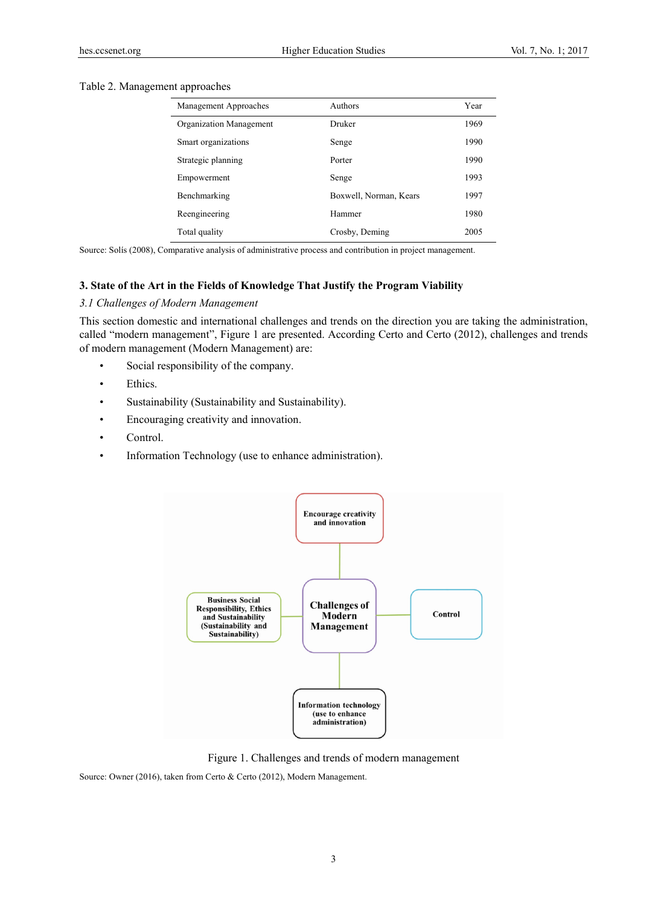## Table 2. Management approaches

| Management Approaches   | Authors                | Year |
|-------------------------|------------------------|------|
| Organization Management | Druker                 | 1969 |
| Smart organizations     | Senge                  | 1990 |
| Strategic planning      | Porter                 | 1990 |
| Empowerment             | Senge                  | 1993 |
| Benchmarking            | Boxwell, Norman, Kears | 1997 |
| Reengineering           | Hammer                 | 1980 |
| Total quality           | Crosby, Deming         | 2005 |

Source: Solís (2008), Comparative analysis of administrative process and contribution in project management.

#### **3. State of the Art in the Fields of Knowledge That Justify the Program Viability**

# *3.1 Challenges of Modern Management*

This section domestic and international challenges and trends on the direction you are taking the administration, called "modern management", Figure 1 are presented. According Certo and Certo (2012), challenges and trends of modern management (Modern Management) are:

- Social responsibility of the company.
- Ethics.
- Sustainability (Sustainability and Sustainability).
- Encouraging creativity and innovation.
- Control.
- Information Technology (use to enhance administration).



Figure 1. Challenges and trends of modern management

Source: Owner (2016), taken from Certo & Certo (2012), Modern Management.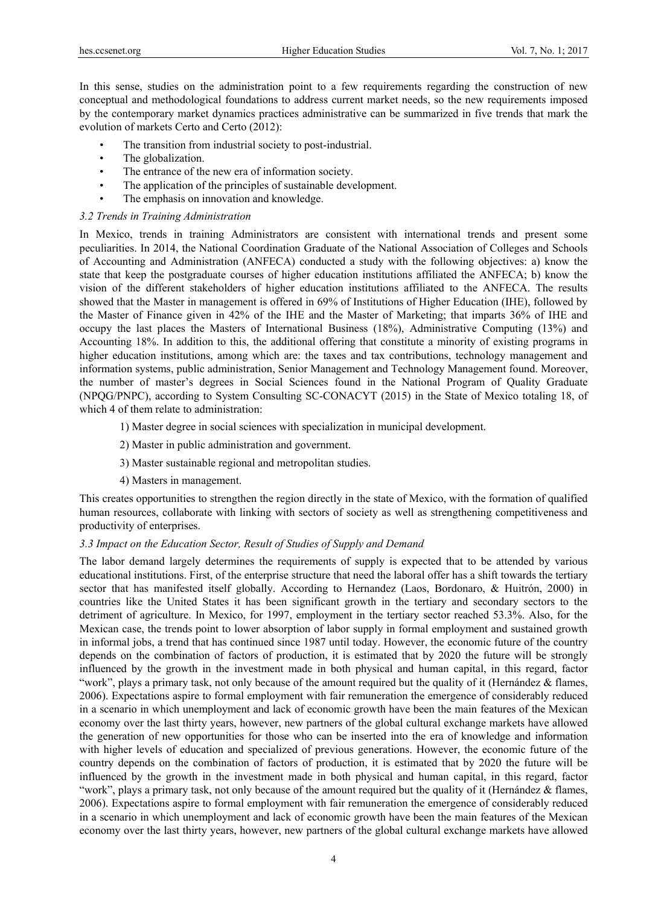In this sense, studies on the administration point to a few requirements regarding the construction of new conceptual and methodological foundations to address current market needs, so the new requirements imposed by the contemporary market dynamics practices administrative can be summarized in five trends that mark the evolution of markets Certo and Certo (2012):

- The transition from industrial society to post-industrial.
- The globalization.
- The entrance of the new era of information society.
- The application of the principles of sustainable development.
- The emphasis on innovation and knowledge.

#### *3.2 Trends in Training Administration*

In Mexico, trends in training Administrators are consistent with international trends and present some peculiarities. In 2014, the National Coordination Graduate of the National Association of Colleges and Schools of Accounting and Administration (ANFECA) conducted a study with the following objectives: a) know the state that keep the postgraduate courses of higher education institutions affiliated the ANFECA; b) know the vision of the different stakeholders of higher education institutions affiliated to the ANFECA. The results showed that the Master in management is offered in 69% of Institutions of Higher Education (IHE), followed by the Master of Finance given in 42% of the IHE and the Master of Marketing; that imparts 36% of IHE and occupy the last places the Masters of International Business (18%), Administrative Computing (13%) and Accounting 18%. In addition to this, the additional offering that constitute a minority of existing programs in higher education institutions, among which are: the taxes and tax contributions, technology management and information systems, public administration, Senior Management and Technology Management found. Moreover, the number of master's degrees in Social Sciences found in the National Program of Quality Graduate (NPQG/PNPC), according to System Consulting SC-CONACYT (2015) in the State of Mexico totaling 18, of which 4 of them relate to administration:

- 1) Master degree in social sciences with specialization in municipal development.
- 2) Master in public administration and government.
- 3) Master sustainable regional and metropolitan studies.
- 4) Masters in management.

This creates opportunities to strengthen the region directly in the state of Mexico, with the formation of qualified human resources, collaborate with linking with sectors of society as well as strengthening competitiveness and productivity of enterprises.

### *3.3 Impact on the Education Sector, Result of Studies of Supply and Demand*

The labor demand largely determines the requirements of supply is expected that to be attended by various educational institutions. First, of the enterprise structure that need the laboral offer has a shift towards the tertiary sector that has manifested itself globally. According to Hernandez (Laos, Bordonaro, & Huitrón, 2000) in countries like the United States it has been significant growth in the tertiary and secondary sectors to the detriment of agriculture. In Mexico, for 1997, employment in the tertiary sector reached 53.3%. Also, for the Mexican case, the trends point to lower absorption of labor supply in formal employment and sustained growth in informal jobs, a trend that has continued since 1987 until today. However, the economic future of the country depends on the combination of factors of production, it is estimated that by 2020 the future will be strongly influenced by the growth in the investment made in both physical and human capital, in this regard, factor "work", plays a primary task, not only because of the amount required but the quality of it (Hernández  $\&$  flames, 2006). Expectations aspire to formal employment with fair remuneration the emergence of considerably reduced in a scenario in which unemployment and lack of economic growth have been the main features of the Mexican economy over the last thirty years, however, new partners of the global cultural exchange markets have allowed the generation of new opportunities for those who can be inserted into the era of knowledge and information with higher levels of education and specialized of previous generations. However, the economic future of the country depends on the combination of factors of production, it is estimated that by 2020 the future will be influenced by the growth in the investment made in both physical and human capital, in this regard, factor "work", plays a primary task, not only because of the amount required but the quality of it (Hernández & flames, 2006). Expectations aspire to formal employment with fair remuneration the emergence of considerably reduced in a scenario in which unemployment and lack of economic growth have been the main features of the Mexican economy over the last thirty years, however, new partners of the global cultural exchange markets have allowed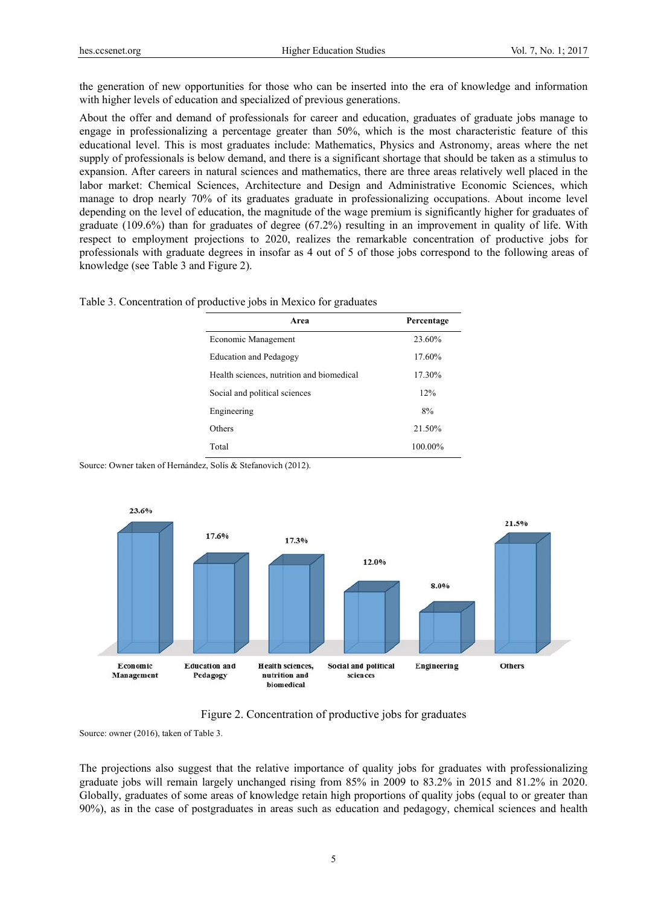the generation of new opportunities for those who can be inserted into the era of knowledge and information with higher levels of education and specialized of previous generations.

About the offer and demand of professionals for career and education, graduates of graduate jobs manage to engage in professionalizing a percentage greater than 50%, which is the most characteristic feature of this educational level. This is most graduates include: Mathematics, Physics and Astronomy, areas where the net supply of professionals is below demand, and there is a significant shortage that should be taken as a stimulus to expansion. After careers in natural sciences and mathematics, there are three areas relatively well placed in the labor market: Chemical Sciences, Architecture and Design and Administrative Economic Sciences, which manage to drop nearly 70% of its graduates graduate in professionalizing occupations. About income level depending on the level of education, the magnitude of the wage premium is significantly higher for graduates of graduate (109.6%) than for graduates of degree (67.2%) resulting in an improvement in quality of life. With respect to employment projections to 2020, realizes the remarkable concentration of productive jobs for professionals with graduate degrees in insofar as 4 out of 5 of those jobs correspond to the following areas of knowledge (see Table 3 and Figure 2).

|  | Table 3. Concentration of productive jobs in Mexico for graduates |  |
|--|-------------------------------------------------------------------|--|
|  |                                                                   |  |

| Area                                      | Percentage |
|-------------------------------------------|------------|
| Economic Management                       | 23.60%     |
| <b>Education and Pedagogy</b>             | 17.60%     |
| Health sciences, nutrition and biomedical | 17.30%     |
| Social and political sciences             | 12%        |
| Engineering                               | 8%         |
| Others                                    | 21.50%     |
| Total                                     | $100.00\%$ |

Source: Owner taken of Hernández, Solís & Stefanovich (2012).



## Figure 2. Concentration of productive jobs for graduates

Source: owner (2016), taken of Table 3.

The projections also suggest that the relative importance of quality jobs for graduates with professionalizing graduate jobs will remain largely unchanged rising from 85% in 2009 to 83.2% in 2015 and 81.2% in 2020. Globally, graduates of some areas of knowledge retain high proportions of quality jobs (equal to or greater than 90%), as in the case of postgraduates in areas such as education and pedagogy, chemical sciences and health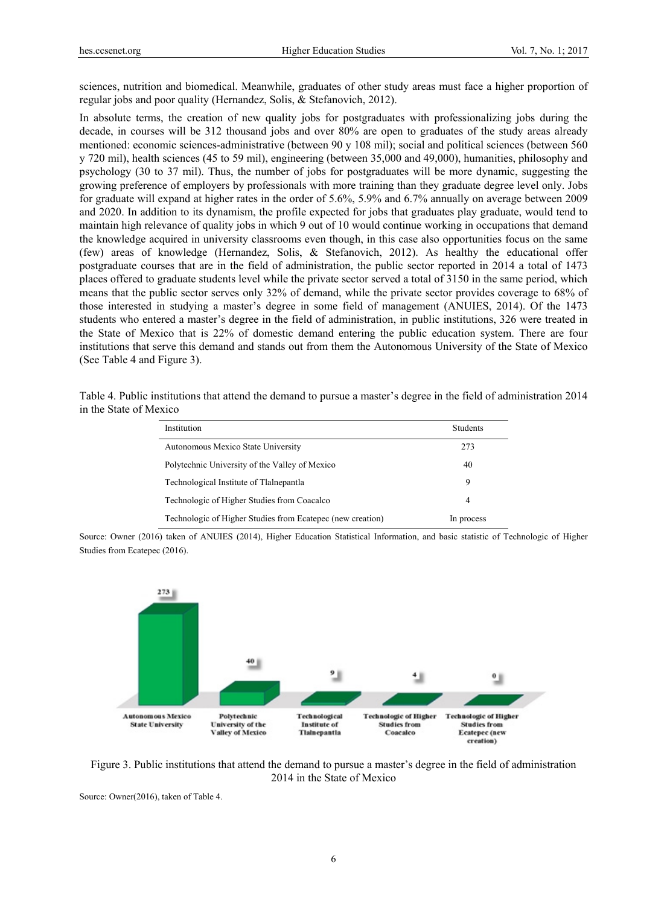sciences, nutrition and biomedical. Meanwhile, graduates of other study areas must face a higher proportion of regular jobs and poor quality (Hernandez, Solis, & Stefanovich, 2012).

In absolute terms, the creation of new quality jobs for postgraduates with professionalizing jobs during the decade, in courses will be 312 thousand jobs and over 80% are open to graduates of the study areas already mentioned: economic sciences-administrative (between 90 y 108 mil); social and political sciences (between 560 y 720 mil), health sciences (45 to 59 mil), engineering (between 35,000 and 49,000), humanities, philosophy and psychology (30 to 37 mil). Thus, the number of jobs for postgraduates will be more dynamic, suggesting the growing preference of employers by professionals with more training than they graduate degree level only. Jobs for graduate will expand at higher rates in the order of 5.6%, 5.9% and 6.7% annually on average between 2009 and 2020. In addition to its dynamism, the profile expected for jobs that graduates play graduate, would tend to maintain high relevance of quality jobs in which 9 out of 10 would continue working in occupations that demand the knowledge acquired in university classrooms even though, in this case also opportunities focus on the same (few) areas of knowledge (Hernandez, Solis, & Stefanovich, 2012). As healthy the educational offer postgraduate courses that are in the field of administration, the public sector reported in 2014 a total of 1473 places offered to graduate students level while the private sector served a total of 3150 in the same period, which means that the public sector serves only 32% of demand, while the private sector provides coverage to 68% of those interested in studying a master's degree in some field of management (ANUIES, 2014). Of the 1473 students who entered a master's degree in the field of administration, in public institutions, 326 were treated in the State of Mexico that is 22% of domestic demand entering the public education system. There are four institutions that serve this demand and stands out from them the Autonomous University of the State of Mexico (See Table 4 and Figure 3).

Table 4. Public institutions that attend the demand to pursue a master's degree in the field of administration 2014 in the State of Mexico

| Institution                                                | <b>Students</b> |
|------------------------------------------------------------|-----------------|
| Autonomous Mexico State University                         | 273             |
| Polytechnic University of the Valley of Mexico             | 40              |
| Technological Institute of Tlalnepantla                    | 9               |
| Technologic of Higher Studies from Coacalco                | 4               |
| Technologic of Higher Studies from Ecatepec (new creation) | In process      |

Source: Owner (2016) taken of ANUIES (2014), Higher Education Statistical Information, and basic statistic of Technologic of Higher Studies from Ecatepec (2016).



Figure 3. Public institutions that attend the demand to pursue a master's degree in the field of administration 2014 in the State of Mexico

Source: Owner(2016), taken of Table 4.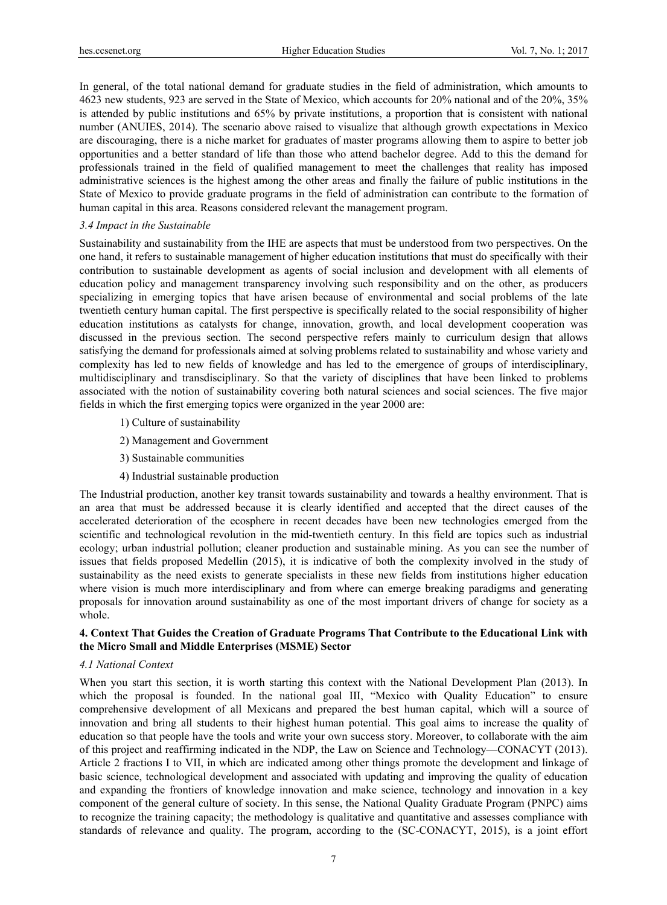In general, of the total national demand for graduate studies in the field of administration, which amounts to 4623 new students, 923 are served in the State of Mexico, which accounts for 20% national and of the 20%, 35% is attended by public institutions and 65% by private institutions, a proportion that is consistent with national number (ANUIES, 2014). The scenario above raised to visualize that although growth expectations in Mexico are discouraging, there is a niche market for graduates of master programs allowing them to aspire to better job opportunities and a better standard of life than those who attend bachelor degree. Add to this the demand for professionals trained in the field of qualified management to meet the challenges that reality has imposed administrative sciences is the highest among the other areas and finally the failure of public institutions in the State of Mexico to provide graduate programs in the field of administration can contribute to the formation of human capital in this area. Reasons considered relevant the management program.

#### *3.4 Impact in the Sustainable*

Sustainability and sustainability from the IHE are aspects that must be understood from two perspectives. On the one hand, it refers to sustainable management of higher education institutions that must do specifically with their contribution to sustainable development as agents of social inclusion and development with all elements of education policy and management transparency involving such responsibility and on the other, as producers specializing in emerging topics that have arisen because of environmental and social problems of the late twentieth century human capital. The first perspective is specifically related to the social responsibility of higher education institutions as catalysts for change, innovation, growth, and local development cooperation was discussed in the previous section. The second perspective refers mainly to curriculum design that allows satisfying the demand for professionals aimed at solving problems related to sustainability and whose variety and complexity has led to new fields of knowledge and has led to the emergence of groups of interdisciplinary, multidisciplinary and transdisciplinary. So that the variety of disciplines that have been linked to problems associated with the notion of sustainability covering both natural sciences and social sciences. The five major fields in which the first emerging topics were organized in the year 2000 are:

- 1) Culture of sustainability
- 2) Management and Government
- 3) Sustainable communities
- 4) Industrial sustainable production

The Industrial production, another key transit towards sustainability and towards a healthy environment. That is an area that must be addressed because it is clearly identified and accepted that the direct causes of the accelerated deterioration of the ecosphere in recent decades have been new technologies emerged from the scientific and technological revolution in the mid-twentieth century. In this field are topics such as industrial ecology; urban industrial pollution; cleaner production and sustainable mining. As you can see the number of issues that fields proposed Medellin (2015), it is indicative of both the complexity involved in the study of sustainability as the need exists to generate specialists in these new fields from institutions higher education where vision is much more interdisciplinary and from where can emerge breaking paradigms and generating proposals for innovation around sustainability as one of the most important drivers of change for society as a whole.

## **4. Context That Guides the Creation of Graduate Programs That Contribute to the Educational Link with the Micro Small and Middle Enterprises (MSME) Sector**

#### *4.1 National Context*

When you start this section, it is worth starting this context with the National Development Plan (2013). In which the proposal is founded. In the national goal III, "Mexico with Quality Education" to ensure comprehensive development of all Mexicans and prepared the best human capital, which will a source of innovation and bring all students to their highest human potential. This goal aims to increase the quality of education so that people have the tools and write your own success story. Moreover, to collaborate with the aim of this project and reaffirming indicated in the NDP, the Law on Science and Technology—CONACYT (2013). Article 2 fractions I to VII, in which are indicated among other things promote the development and linkage of basic science, technological development and associated with updating and improving the quality of education and expanding the frontiers of knowledge innovation and make science, technology and innovation in a key component of the general culture of society. In this sense, the National Quality Graduate Program (PNPC) aims to recognize the training capacity; the methodology is qualitative and quantitative and assesses compliance with standards of relevance and quality. The program, according to the (SC-CONACYT, 2015), is a joint effort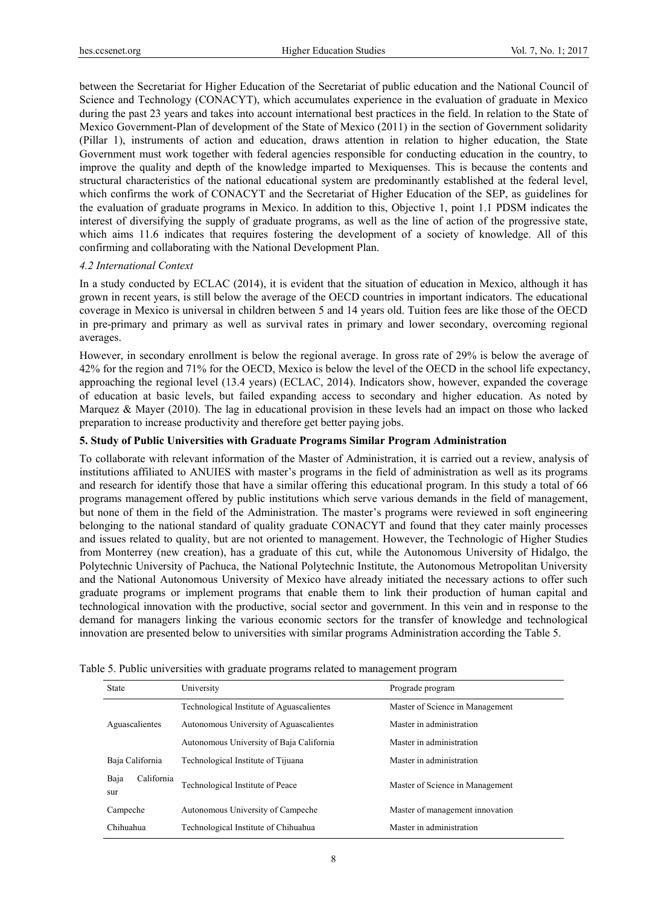between the Secretariat for Higher Education of the Secretariat of public education and the National Council of Science and Technology (CONACYT), which accumulates experience in the evaluation of graduate in Mexico during the past 23 years and takes into account international best practices in the field. In relation to the State of Mexico Government-Plan of development of the State of Mexico (2011) in the section of Government solidarity (Pillar 1), instruments of action and education, draws attention in relation to higher education, the State Government must work together with federal agencies responsible for conducting education in the country, to improve the quality and depth of the knowledge imparted to Mexiquenses. This is because the contents and structural characteristics of the national educational system are predominantly established at the federal level, which confirms the work of CONACYT and the Secretariat of Higher Education of the SEP, as guidelines for the evaluation of graduate programs in Mexico. In addition to this, Objective 1, point 1.1 PDSM indicates the interest of diversifying the supply of graduate programs, as well as the line of action of the progressive state, which aims 11.6 indicates that requires fostering the development of a society of knowledge. All of this confirming and collaborating with the National Development Plan.

## *4.2 International Context*

In a study conducted by ECLAC (2014), it is evident that the situation of education in Mexico, although it has grown in recent years, is still below the average of the OECD countries in important indicators. The educational coverage in Mexico is universal in children between 5 and 14 years old. Tuition fees are like those of the OECD in pre-primary and primary as well as survival rates in primary and lower secondary, overcoming regional averages.

However, in secondary enrollment is below the regional average. In gross rate of 29% is below the average of 42% for the region and 71% for the OECD, Mexico is below the level of the OECD in the school life expectancy, approaching the regional level (13.4 years) (ECLAC, 2014). Indicators show, however, expanded the coverage of education at basic levels, but failed expanding access to secondary and higher education. As noted by Marquez & Mayer (2010). The lag in educational provision in these levels had an impact on those who lacked preparation to increase productivity and therefore get better paying jobs.

#### **5. Study of Public Universities with Graduate Programs Similar Program Administration**

To collaborate with relevant information of the Master of Administration, it is carried out a review, analysis of institutions affiliated to ANUIES with master's programs in the field of administration as well as its programs and research for identify those that have a similar offering this educational program. In this study a total of 66 programs management offered by public institutions which serve various demands in the field of management, but none of them in the field of the Administration. The master's programs were reviewed in soft engineering belonging to the national standard of quality graduate CONACYT and found that they cater mainly processes and issues related to quality, but are not oriented to management. However, the Technologic of Higher Studies from Monterrey (new creation), has a graduate of this cut, while the Autonomous University of Hidalgo, the Polytechnic University of Pachuca, the National Polytechnic Institute, the Autonomous Metropolitan University and the National Autonomous University of Mexico have already initiated the necessary actions to offer such graduate programs or implement programs that enable them to link their production of human capital and technological innovation with the productive, social sector and government. In this vein and in response to the demand for managers linking the various economic sectors for the transfer of knowledge and technological innovation are presented below to universities with similar programs Administration according the Table 5.

| <b>State</b>              | University                                | Prograde program                |  |
|---------------------------|-------------------------------------------|---------------------------------|--|
|                           | Technological Institute of Aguascalientes | Master of Science in Management |  |
| Aguascalientes            | Autonomous University of Aguascalientes   | Master in administration        |  |
|                           | Autonomous University of Baja California  | Master in administration        |  |
| Baja California           | Technological Institute of Tijuana        | Master in administration        |  |
| Baja<br>California<br>sur | Technological Institute of Peace          | Master of Science in Management |  |
| Campeche                  | Autonomous University of Campeche         | Master of management innovation |  |
| Chihuahua                 | Technological Institute of Chihuahua      | Master in administration        |  |

Table 5. Public universities with graduate programs related to management program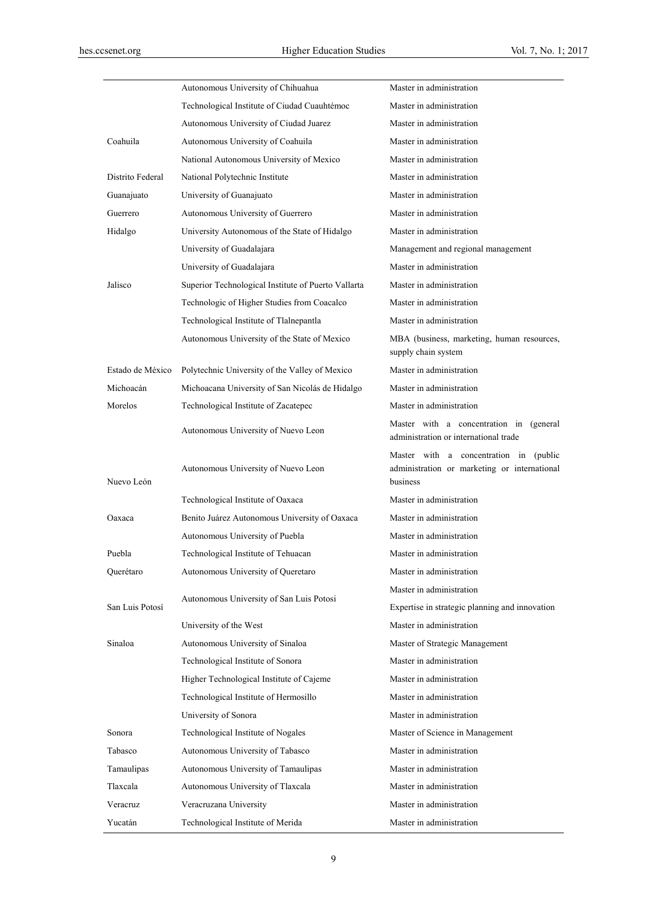|                  | Autonomous University of Chihuahua                  | Master in administration                                                                           |
|------------------|-----------------------------------------------------|----------------------------------------------------------------------------------------------------|
|                  | Technological Institute of Ciudad Cuauhtémoc        | Master in administration                                                                           |
|                  | Autonomous University of Ciudad Juarez              | Master in administration                                                                           |
| Coahuila         | Autonomous University of Coahuila                   | Master in administration                                                                           |
|                  | National Autonomous University of Mexico            | Master in administration                                                                           |
| Distrito Federal | National Polytechnic Institute                      | Master in administration                                                                           |
| Guanajuato       | University of Guanajuato                            | Master in administration                                                                           |
| Guerrero         | Autonomous University of Guerrero                   | Master in administration                                                                           |
| Hidalgo          | University Autonomous of the State of Hidalgo       | Master in administration                                                                           |
|                  | University of Guadalajara                           | Management and regional management                                                                 |
|                  | University of Guadalajara                           | Master in administration                                                                           |
| Jalisco          | Superior Technological Institute of Puerto Vallarta | Master in administration                                                                           |
|                  | Technologic of Higher Studies from Coacalco         | Master in administration                                                                           |
|                  | Technological Institute of Tlalnepantla             | Master in administration                                                                           |
|                  | Autonomous University of the State of Mexico        | MBA (business, marketing, human resources,<br>supply chain system                                  |
| Estado de México | Polytechnic University of the Valley of Mexico      | Master in administration                                                                           |
| Michoacán        | Michoacana University of San Nicolás de Hidalgo     | Master in administration                                                                           |
| Morelos          | Technological Institute of Zacatepec                | Master in administration                                                                           |
|                  | Autonomous University of Nuevo Leon                 | Master with a concentration in (general<br>administration or international trade                   |
| Nuevo León       | Autonomous University of Nuevo Leon                 | Master with a concentration in (public<br>administration or marketing or international<br>business |
|                  | Technological Institute of Oaxaca                   | Master in administration                                                                           |
| Oaxaca           | Benito Juárez Autonomous University of Oaxaca       | Master in administration                                                                           |
|                  | Autonomous University of Puebla                     | Master in administration                                                                           |
| Puebla           | Technological Institute of Tehuacan                 | Master in administration                                                                           |
| Ouerétaro        | Autonomous University of Queretaro                  | Master in administration                                                                           |
|                  |                                                     | Master in administration                                                                           |
| San Luis Potosí  | Autonomous University of San Luis Potosi            | Expertise in strategic planning and innovation                                                     |
|                  | University of the West                              | Master in administration                                                                           |
| Sinaloa          | Autonomous University of Sinaloa                    | Master of Strategic Management                                                                     |
|                  | Technological Institute of Sonora                   | Master in administration                                                                           |
|                  | Higher Technological Institute of Cajeme            | Master in administration                                                                           |
|                  | Technological Institute of Hermosillo               | Master in administration                                                                           |
|                  | University of Sonora                                | Master in administration                                                                           |
| Sonora           | Technological Institute of Nogales                  | Master of Science in Management                                                                    |
| Tabasco          | Autonomous University of Tabasco                    | Master in administration                                                                           |
| Tamaulipas       | Autonomous University of Tamaulipas                 | Master in administration                                                                           |
| Tlaxcala         | Autonomous University of Tlaxcala                   | Master in administration                                                                           |
| Veracruz         | Veracruzana University                              | Master in administration                                                                           |
| Yucatán          | Technological Institute of Merida                   | Master in administration                                                                           |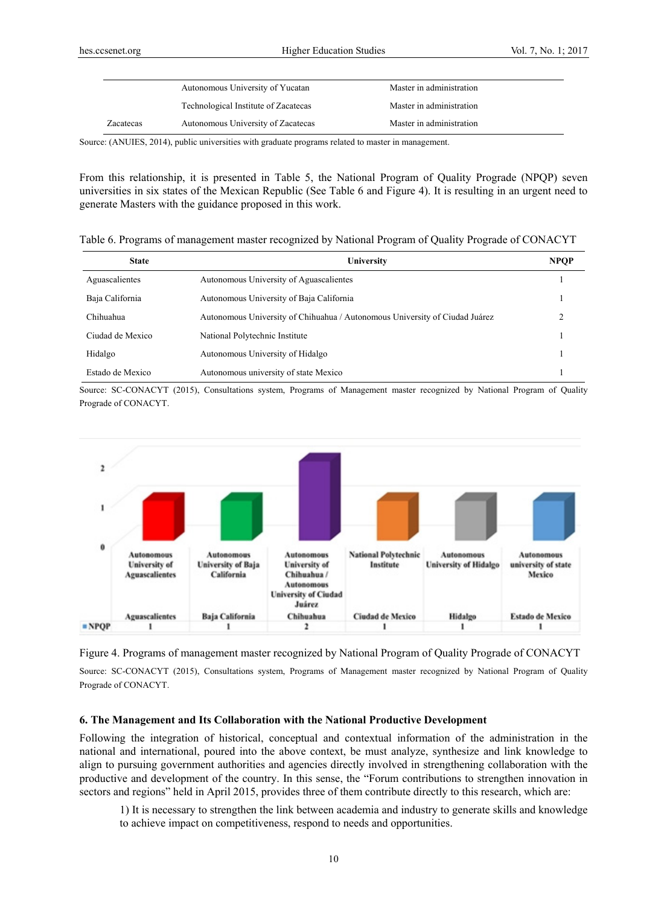|           | Autonomous University of Yucatan     | Master in administration |  |
|-----------|--------------------------------------|--------------------------|--|
|           | Technological Institute of Zacatecas | Master in administration |  |
| Zacatecas | Autonomous University of Zacatecas   | Master in administration |  |

Source: (ANUIES, 2014), public universities with graduate programs related to master in management.

From this relationship, it is presented in Table 5, the National Program of Quality Prograde (NPQP) seven universities in six states of the Mexican Republic (See Table 6 and Figure 4). It is resulting in an urgent need to generate Masters with the guidance proposed in this work.

Table 6. Programs of management master recognized by National Program of Quality Prograde of CONACYT

| <b>State</b>     | University                                                                  | <b>NPOP</b> |
|------------------|-----------------------------------------------------------------------------|-------------|
| Aguascalientes   | Autonomous University of Aguascalientes                                     |             |
| Baja California  | Autonomous University of Baja California                                    |             |
| Chihuahua        | Autonomous University of Chihuahua / Autonomous University of Ciudad Juárez |             |
| Ciudad de Mexico | National Polytechnic Institute                                              |             |
| Hidalgo          | Autonomous University of Hidalgo                                            |             |
| Estado de Mexico | Autonomous university of state Mexico                                       |             |

Source: SC-CONACYT (2015), Consultations system, Programs of Management master recognized by National Program of Quality Prograde of CONACYT.





Source: SC-CONACYT (2015), Consultations system, Programs of Management master recognized by National Program of Quality Prograde of CONACYT.

#### **6. The Management and Its Collaboration with the National Productive Development**

Following the integration of historical, conceptual and contextual information of the administration in the national and international, poured into the above context, be must analyze, synthesize and link knowledge to align to pursuing government authorities and agencies directly involved in strengthening collaboration with the productive and development of the country. In this sense, the "Forum contributions to strengthen innovation in sectors and regions" held in April 2015, provides three of them contribute directly to this research, which are:

1) It is necessary to strengthen the link between academia and industry to generate skills and knowledge to achieve impact on competitiveness, respond to needs and opportunities.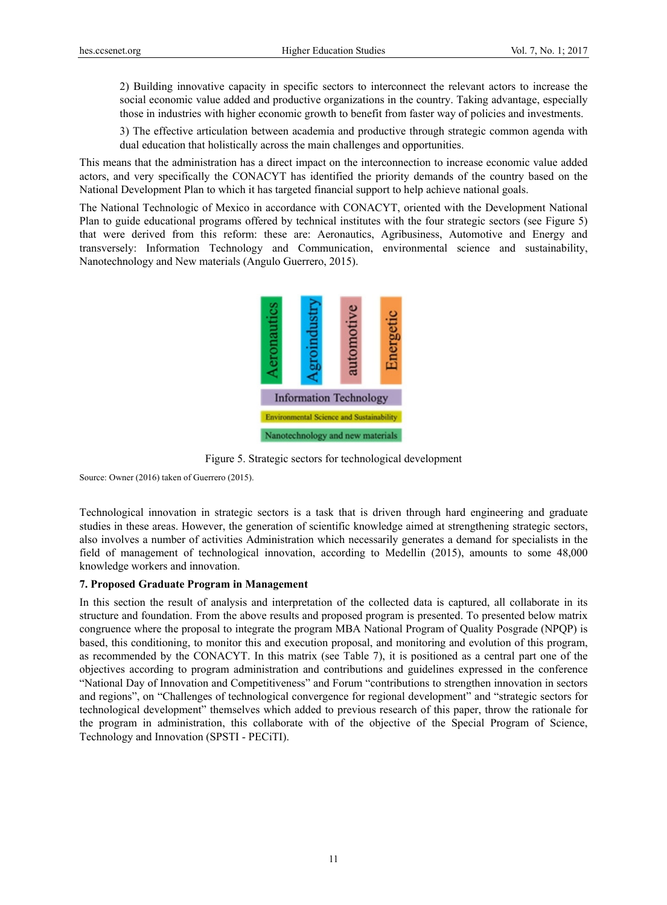2) Building innovative capacity in specific sectors to interconnect the relevant actors to increase the social economic value added and productive organizations in the country. Taking advantage, especially those in industries with higher economic growth to benefit from faster way of policies and investments.

3) The effective articulation between academia and productive through strategic common agenda with dual education that holistically across the main challenges and opportunities.

This means that the administration has a direct impact on the interconnection to increase economic value added actors, and very specifically the CONACYT has identified the priority demands of the country based on the National Development Plan to which it has targeted financial support to help achieve national goals.

The National Technologic of Mexico in accordance with CONACYT, oriented with the Development National Plan to guide educational programs offered by technical institutes with the four strategic sectors (see Figure 5) that were derived from this reform: these are: Aeronautics, Agribusiness, Automotive and Energy and transversely: Information Technology and Communication, environmental science and sustainability, Nanotechnology and New materials (Angulo Guerrero, 2015).



Figure 5. Strategic sectors for technological development

Source: Owner (2016) taken of Guerrero (2015).

Technological innovation in strategic sectors is a task that is driven through hard engineering and graduate studies in these areas. However, the generation of scientific knowledge aimed at strengthening strategic sectors, also involves a number of activities Administration which necessarily generates a demand for specialists in the field of management of technological innovation, according to Medellin (2015), amounts to some 48,000 knowledge workers and innovation.

## **7. Proposed Graduate Program in Management**

In this section the result of analysis and interpretation of the collected data is captured, all collaborate in its structure and foundation. From the above results and proposed program is presented. To presented below matrix congruence where the proposal to integrate the program MBA National Program of Quality Posgrade (NPQP) is based, this conditioning, to monitor this and execution proposal, and monitoring and evolution of this program, as recommended by the CONACYT. In this matrix (see Table 7), it is positioned as a central part one of the objectives according to program administration and contributions and guidelines expressed in the conference "National Day of Innovation and Competitiveness" and Forum "contributions to strengthen innovation in sectors and regions", on "Challenges of technological convergence for regional development" and "strategic sectors for technological development" themselves which added to previous research of this paper, throw the rationale for the program in administration, this collaborate with of the objective of the Special Program of Science, Technology and Innovation (SPSTI - PECiTI).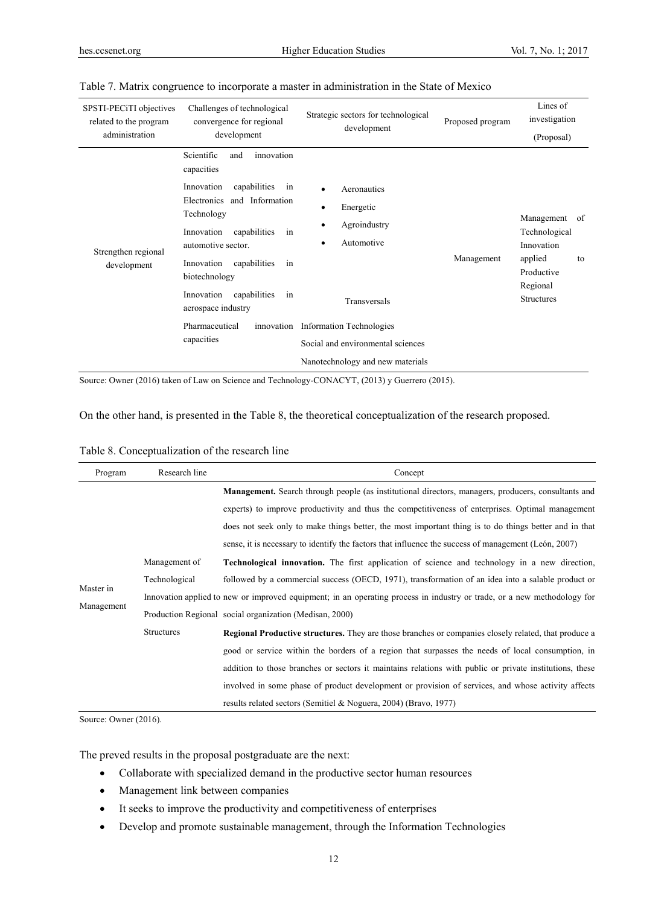| SPSTI-PECiTI objectives<br>related to the program<br>administration | Challenges of technological<br>convergence for regional<br>development                                                                                                                                                                                                                                                                                | Strategic sectors for technological<br>development                                                                                                                                                | Proposed program | Lines of<br>investigation<br>(Proposal)                                                                         |
|---------------------------------------------------------------------|-------------------------------------------------------------------------------------------------------------------------------------------------------------------------------------------------------------------------------------------------------------------------------------------------------------------------------------------------------|---------------------------------------------------------------------------------------------------------------------------------------------------------------------------------------------------|------------------|-----------------------------------------------------------------------------------------------------------------|
| Strengthen regional<br>development                                  | Scientific<br>innovation<br>and<br>capacities<br>Innovation<br>capabilities<br>in<br>Electronics and Information<br>Technology<br>Innovation<br>capabilities<br>in<br>automotive sector.<br>capabilities<br>Innovation<br>in<br>biotechnology<br>Innovation<br>capabilities<br>in<br>aerospace industry<br>Pharmaceutical<br>innovation<br>capacities | Aeronautics<br>Energetic<br>٠<br>Agroindustry<br>٠<br>Automotive<br>٠<br>Transversals<br><b>Information Technologies</b><br>Social and environmental sciences<br>Nanotechnology and new materials | Management       | Management<br>of<br>Technological<br>Innovation<br>applied<br>to<br>Productive<br>Regional<br><b>Structures</b> |

## Table 7. Matrix congruence to incorporate a master in administration in the State of Mexico

Source: Owner (2016) taken of Law on Science and Technology-CONACYT, (2013) y Guerrero (2015).

On the other hand, is presented in the Table 8, the theoretical conceptualization of the research proposed.

## Table 8. Conceptualization of the research line

| Program                 | Research line     | Concept                                                                                                                 |
|-------------------------|-------------------|-------------------------------------------------------------------------------------------------------------------------|
| Master in<br>Management |                   | <b>Management.</b> Search through people (as institutional directors, managers, producers, consultants and              |
|                         |                   | experts) to improve productivity and thus the competitiveness of enterprises. Optimal management                        |
|                         |                   | does not seek only to make things better, the most important thing is to do things better and in that                   |
|                         |                   | sense, it is necessary to identify the factors that influence the success of management (León, 2007)                    |
|                         | Management of     | <b>Technological innovation.</b> The first application of science and technology in a new direction,                    |
|                         | Technological     | followed by a commercial success (OECD, 1971), transformation of an idea into a salable product or                      |
|                         |                   | Innovation applied to new or improved equipment; in an operating process in industry or trade, or a new methodology for |
|                         |                   | Production Regional social organization (Medisan, 2000)                                                                 |
|                         | <b>Structures</b> | <b>Regional Productive structures.</b> They are those branches or companies closely related, that produce a             |
|                         |                   | good or service within the borders of a region that surpasses the needs of local consumption, in                        |
|                         |                   | addition to those branches or sectors it maintains relations with public or private institutions, these                 |
|                         |                   | involved in some phase of product development or provision of services, and whose activity affects                      |
|                         |                   | results related sectors (Semitiel & Noguera, 2004) (Bravo, 1977)                                                        |

Source: Owner (2016).

The preved results in the proposal postgraduate are the next:

- Collaborate with specialized demand in the productive sector human resources
- Management link between companies
- It seeks to improve the productivity and competitiveness of enterprises
- Develop and promote sustainable management, through the Information Technologies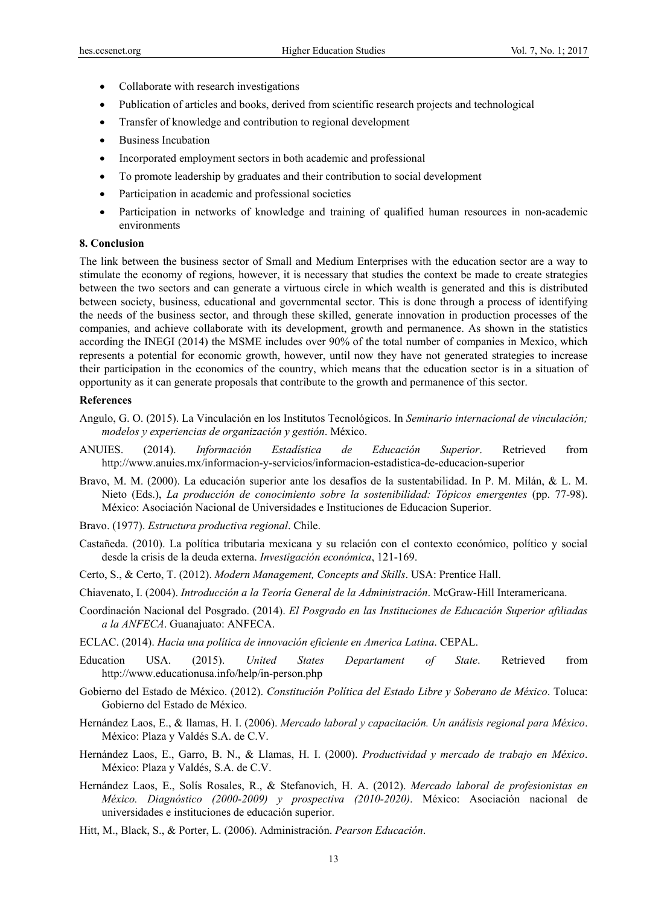- Collaborate with research investigations
- Publication of articles and books, derived from scientific research projects and technological
- Transfer of knowledge and contribution to regional development
- Business Incubation
- Incorporated employment sectors in both academic and professional
- To promote leadership by graduates and their contribution to social development
- Participation in academic and professional societies
- Participation in networks of knowledge and training of qualified human resources in non-academic environments

## **8. Conclusion**

The link between the business sector of Small and Medium Enterprises with the education sector are a way to stimulate the economy of regions, however, it is necessary that studies the context be made to create strategies between the two sectors and can generate a virtuous circle in which wealth is generated and this is distributed between society, business, educational and governmental sector. This is done through a process of identifying the needs of the business sector, and through these skilled, generate innovation in production processes of the companies, and achieve collaborate with its development, growth and permanence. As shown in the statistics according the INEGI (2014) the MSME includes over 90% of the total number of companies in Mexico, which represents a potential for economic growth, however, until now they have not generated strategies to increase their participation in the economics of the country, which means that the education sector is in a situation of opportunity as it can generate proposals that contribute to the growth and permanence of this sector.

### **References**

- Angulo, G. O. (2015). La Vinculación en los Institutos Tecnológicos. In *Seminario internacional de vinculación; modelos y experiencias de organización y gestión*. México.
- ANUIES. (2014). *Información Estadística de Educación Superior*. Retrieved from http://www.anuies.mx/informacion-y-servicios/informacion-estadistica-de-educacion-superior
- Bravo, M. M. (2000). La educación superior ante los desafíos de la sustentabilidad. In P. M. Milán, & L. M. Nieto (Eds.), *La producción de conocimiento sobre la sostenibilidad: Tópicos emergentes* (pp. 77-98). México: Asociación Nacional de Universidades e Instituciones de Educacion Superior.
- Bravo. (1977). *Estructura productiva regional*. Chile.
- Castañeda. (2010). La política tributaria mexicana y su relación con el contexto económico, político y social desde la crisis de la deuda externa. *Investigación económica*, 121-169.
- Certo, S., & Certo, T. (2012). *Modern Management, Concepts and Skills*. USA: Prentice Hall.
- Chiavenato, I. (2004). *Introducción a la Teoría General de la Administración*. McGraw-Hill Interamericana.
- Coordinación Nacional del Posgrado. (2014). *El Posgrado en las Instituciones de Educación Superior afiliadas a la ANFECA*. Guanajuato: ANFECA.
- ECLAC. (2014). *Hacia una política de innovación eficiente en America Latina*. CEPAL.
- Education USA. (2015). *United States Departament of State*. Retrieved from http://www.educationusa.info/help/in-person.php
- Gobierno del Estado de México. (2012). *Constitución Política del Estado Libre y Soberano de México*. Toluca: Gobierno del Estado de México.
- Hernández Laos, E., & llamas, H. I. (2006). *Mercado laboral y capacitación. Un análisis regional para México*. México: Plaza y Valdés S.A. de C.V.
- Hernández Laos, E., Garro, B. N., & Llamas, H. I. (2000). *Productividad y mercado de trabajo en México*. México: Plaza y Valdés, S.A. de C.V.
- Hernández Laos, E., Solís Rosales, R., & Stefanovich, H. A. (2012). *Mercado laboral de profesionistas en México. Diagnóstico (2000-2009) y prospectiva (2010-2020)*. México: Asociación nacional de universidades e instituciones de educación superior.
- Hitt, M., Black, S., & Porter, L. (2006). Administración. *Pearson Educación*.